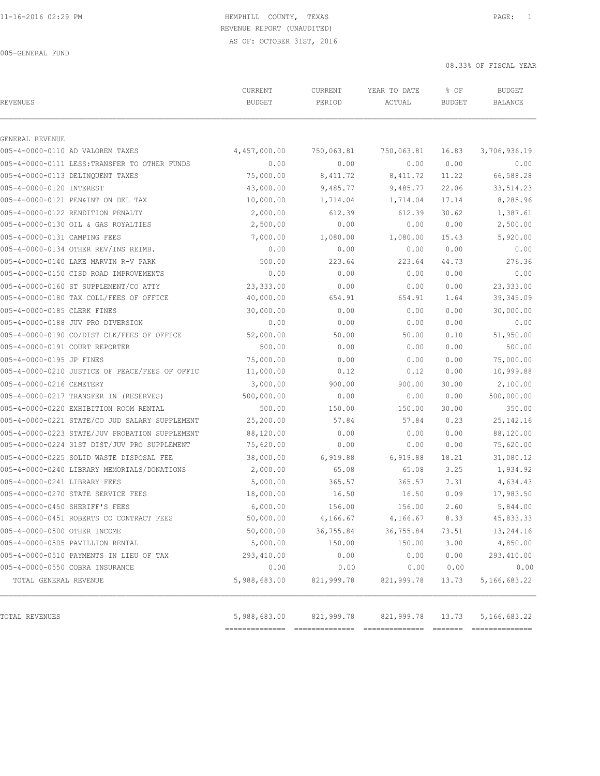# 11-16-2016 02:29 PM HEMPHILL COUNTY, TEXAS PAGE: 1 REVENUE REPORT (UNAUDITED)

AS OF: OCTOBER 31ST, 2016

005-GENERAL FUND

08.33% OF FISCAL YEAR

| <b>REVENUES</b>                 |                                                | CURRENT<br><b>BUDGET</b> | CURRENT<br>PERIOD | YEAR TO DATE<br>ACTUAL | % OF<br><b>BUDGET</b> | <b>BUDGET</b><br>BALANCE |
|---------------------------------|------------------------------------------------|--------------------------|-------------------|------------------------|-----------------------|--------------------------|
| GENERAL REVENUE                 |                                                |                          |                   |                        |                       |                          |
|                                 | 005-4-0000-0110 AD VALOREM TAXES               | 4,457,000.00             | 750,063.81        | 750,063.81             | 16.83                 | 3,706,936.19             |
|                                 | 005-4-0000-0111 LESS: TRANSFER TO OTHER FUNDS  | 0.00                     | 0.00              | 0.00                   | 0.00                  | 0.00                     |
|                                 | 005-4-0000-0113 DELINQUENT TAXES               | 75,000.00                | 8,411.72          | 8,411.72               | 11.22                 | 66,588.28                |
| 005-4-0000-0120 INTEREST        |                                                | 43,000.00                | 9,485.77          | 9,485.77               | 22.06                 | 33, 514.23               |
|                                 | 005-4-0000-0121 PEN&INT ON DEL TAX             | 10,000.00                | 1,714.04          | 1,714.04               | 17.14                 | 8,285.96                 |
|                                 | 005-4-0000-0122 RENDITION PENALTY              | 2,000.00                 | 612.39            | 612.39                 | 30.62                 | 1,387.61                 |
|                                 | 005-4-0000-0130 OIL & GAS ROYALTIES            | 2,500.00                 | 0.00              | 0.00                   | 0.00                  | 2,500.00                 |
| 005-4-0000-0131 CAMPING FEES    |                                                | 7,000.00                 | 1,080.00          | 1,080.00               | 15.43                 | 5,920.00                 |
|                                 | 005-4-0000-0134 OTHER REV/INS REIMB.           | 0.00                     | 0.00              | 0.00                   | 0.00                  | 0.00                     |
|                                 | 005-4-0000-0140 LAKE MARVIN R-V PARK           | 500.00                   | 223.64            | 223.64                 | 44.73                 | 276.36                   |
|                                 | 005-4-0000-0150 CISD ROAD IMPROVEMENTS         | 0.00                     | 0.00              | 0.00                   | 0.00                  | 0.00                     |
|                                 | 005-4-0000-0160 ST SUPPLEMENT/CO ATTY          | 23,333.00                | 0.00              | 0.00                   | 0.00                  | 23,333.00                |
|                                 | 005-4-0000-0180 TAX COLL/FEES OF OFFICE        | 40,000.00                | 654.91            | 654.91                 | 1.64                  | 39,345.09                |
| 005-4-0000-0185 CLERK FINES     |                                                | 30,000.00                | 0.00              | 0.00                   | 0.00                  | 30,000.00                |
|                                 | 005-4-0000-0188 JUV PRO DIVERSION              | 0.00                     | 0.00              | 0.00                   | 0.00                  | 0.00                     |
|                                 | 005-4-0000-0190 CO/DIST CLK/FEES OF OFFICE     | 52,000.00                | 50.00             | 50.00                  | 0.10                  | 51,950.00                |
| 005-4-0000-0191 COURT REPORTER  |                                                | 500.00                   | 0.00              | 0.00                   | 0.00                  | 500.00                   |
| 005-4-0000-0195 JP FINES        |                                                | 75,000.00                | 0.00              | 0.00                   | 0.00                  | 75,000.00                |
|                                 | 005-4-0000-0210 JUSTICE OF PEACE/FEES OF OFFIC | 11,000.00                | 0.12              | 0.12                   | 0.00                  | 10,999.88                |
| 005-4-0000-0216 CEMETERY        |                                                | 3,000.00                 | 900.00            | 900.00                 | 30.00                 | 2,100.00                 |
|                                 | 005-4-0000-0217 TRANSFER IN (RESERVES)         | 500,000.00               | 0.00              | 0.00                   | 0.00                  | 500,000.00               |
|                                 | 005-4-0000-0220 EXHIBITION ROOM RENTAL         | 500.00                   | 150.00            | 150.00                 | 30.00                 | 350.00                   |
|                                 | 005-4-0000-0221 STATE/CO JUD SALARY SUPPLEMENT | 25,200.00                | 57.84             | 57.84                  | 0.23                  | 25, 142. 16              |
|                                 | 005-4-0000-0223 STATE/JUV PROBATION SUPPLEMENT | 88,120.00                | 0.00              | 0.00                   | 0.00                  | 88,120.00                |
|                                 | 005-4-0000-0224 31ST DIST/JUV PRO SUPPLEMENT   | 75,620.00                | 0.00              | 0.00                   | 0.00                  | 75,620.00                |
|                                 | 005-4-0000-0225 SOLID WASTE DISPOSAL FEE       | 38,000.00                | 6,919.88          | 6,919.88               | 18.21                 | 31,080.12                |
|                                 | 005-4-0000-0240 LIBRARY MEMORIALS/DONATIONS    | 2,000.00                 | 65.08             | 65.08                  | 3.25                  | 1,934.92                 |
| 005-4-0000-0241 LIBRARY FEES    |                                                | 5,000.00                 | 365.57            | 365.57                 | 7.31                  | 4,634.43                 |
|                                 | 005-4-0000-0270 STATE SERVICE FEES             | 18,000.00                | 16.50             | 16.50                  | 0.09                  | 17,983.50                |
| 005-4-0000-0450 SHERIFF'S FEES  |                                                | 6,000.00                 | 156.00            | 156.00                 | 2.60                  | 5,844.00                 |
|                                 | 005-4-0000-0451 ROBERTS CO CONTRACT FEES       | 50,000.00                | 4,166.67          | 4,166.67               | 8.33                  | 45,833.33                |
| 005-4-0000-0500 OTHER INCOME    |                                                | 50,000.00                | 36,755.84         | 36,755.84              | 73.51                 | 13,244.16                |
|                                 | 005-4-0000-0505 PAVILLION RENTAL               | 5,000.00                 | 150.00            | 150.00                 | 3.00                  | 4,850.00                 |
|                                 | 005-4-0000-0510 PAYMENTS IN LIEU OF TAX        | 293,410.00               | 0.00              | 0.00                   | 0.00                  | 293,410.00               |
| 005-4-0000-0550 COBRA INSURANCE |                                                | 0.00                     | 0.00              | 0.00                   | 0.00                  | 0.00                     |
| TOTAL GENERAL REVENUE           |                                                | 5,988,683.00             | 821,999.78        | 821,999.78             | 13.73                 | 5, 166, 683.22           |
| TOTAL REVENUES                  |                                                |                          |                   |                        |                       |                          |
|                                 |                                                | 5,988,683.00             | 821,999.78        | 821,999.78             | 13.73                 | 5, 166, 683.22           |

============== ============== ============== ======= ==============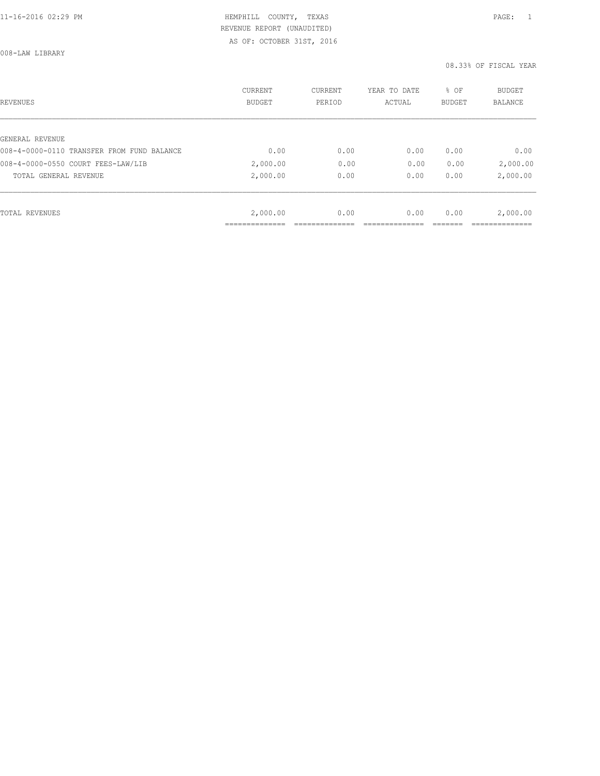008-LAW LIBRARY

| REVENUES                                   | CURRENT<br><b>BUDGET</b> | CURRENT<br>PERIOD | YEAR TO DATE<br>ACTUAL | % OF<br>BUDGET | BUDGET<br><b>BALANCE</b> |
|--------------------------------------------|--------------------------|-------------------|------------------------|----------------|--------------------------|
|                                            |                          |                   |                        |                |                          |
| GENERAL REVENUE                            |                          |                   |                        |                |                          |
| 008-4-0000-0110 TRANSFER FROM FUND BALANCE | 0.00                     | 0.00              | 0.00                   | 0.00           | 0.00                     |
| 008-4-0000-0550 COURT FEES-LAW/LIB         | 2,000.00                 | 0.00              | 0.00                   | 0.00           | 2,000.00                 |
| TOTAL GENERAL REVENUE                      | 2,000.00                 | 0.00              | 0.00                   | 0.00           | 2,000.00                 |
|                                            |                          |                   |                        |                |                          |
| TOTAL REVENUES                             | 2,000.00                 | 0.00              | 0.00                   | 0.00           | 2,000.00                 |
|                                            |                          |                   |                        |                |                          |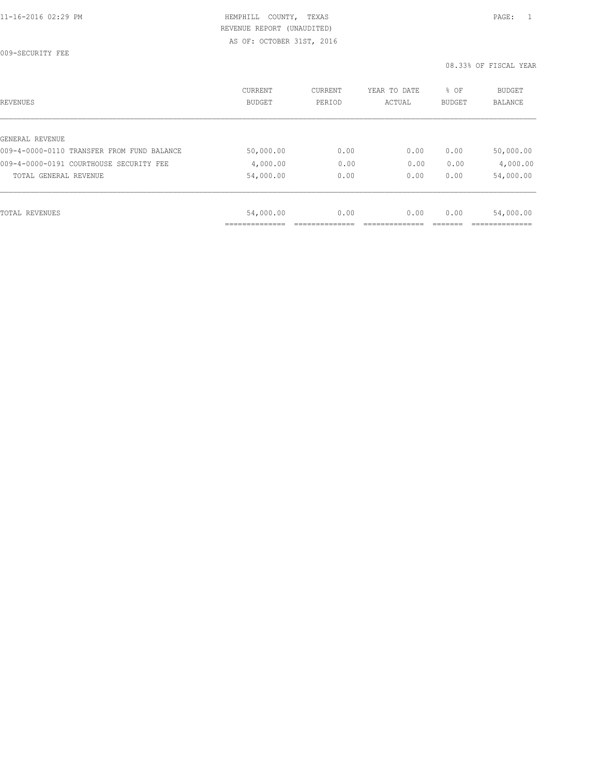009-SECURITY FEE

| REVENUES                                   | CURRENT<br><b>BUDGET</b> | CURRENT<br>PERIOD | YEAR TO DATE<br>ACTUAL | % OF<br>BUDGET | BUDGET<br><b>BALANCE</b> |
|--------------------------------------------|--------------------------|-------------------|------------------------|----------------|--------------------------|
|                                            |                          |                   |                        |                |                          |
| GENERAL REVENUE                            |                          |                   |                        |                |                          |
| 009-4-0000-0110 TRANSFER FROM FUND BALANCE | 50,000.00                | 0.00              | 0.00                   | 0.00           | 50,000.00                |
| 009-4-0000-0191 COURTHOUSE SECURITY FEE    | 4,000.00                 | 0.00              | 0.00                   | 0.00           | 4,000.00                 |
| TOTAL GENERAL REVENUE                      | 54,000.00                | 0.00              | 0.00                   | 0.00           | 54,000.00                |
|                                            |                          |                   |                        |                |                          |
| TOTAL REVENUES                             | 54,000.00                | 0.00              | 0.00                   | 0.00           | 54,000.00                |
|                                            | ___________              |                   |                        |                |                          |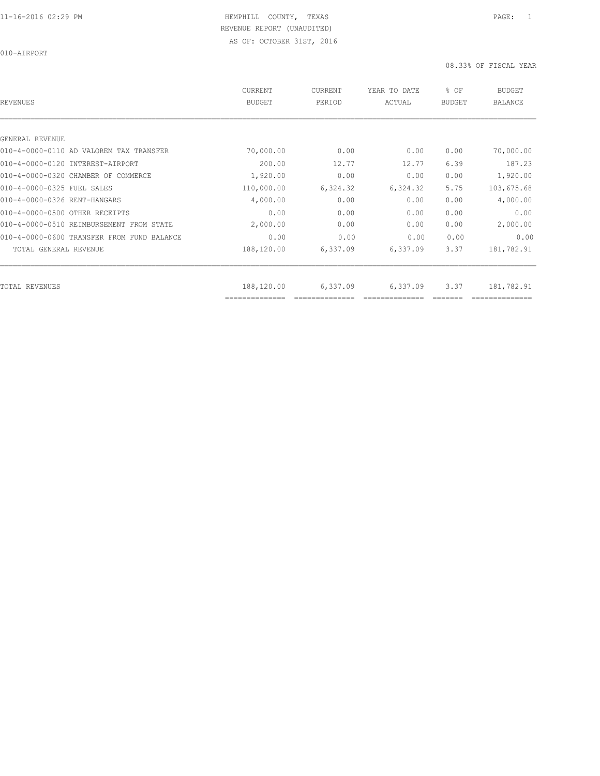010-AIRPORT

| REVENUES                                   | CURRENT<br><b>BUDGET</b>     | CURRENT<br>PERIOD | YEAR TO DATE<br>ACTUAL | % OF<br><b>BUDGET</b> | <b>BUDGET</b><br><b>BALANCE</b> |
|--------------------------------------------|------------------------------|-------------------|------------------------|-----------------------|---------------------------------|
|                                            |                              |                   |                        |                       |                                 |
| GENERAL REVENUE                            |                              |                   |                        |                       |                                 |
| 010-4-0000-0110 AD VALOREM TAX TRANSFER    | 70,000.00                    | 0.00              | 0.00                   | 0.00                  | 70,000.00                       |
| 010-4-0000-0120 INTEREST-AIRPORT           | 200.00                       | 12.77             | 12.77                  | 6.39                  | 187.23                          |
| 010-4-0000-0320 CHAMBER OF COMMERCE        | 1,920.00                     | 0.00              | 0.00                   | 0.00                  | 1,920.00                        |
| 010-4-0000-0325 FUEL SALES                 | 110,000.00                   | 6,324.32          | 6,324.32               | 5.75                  | 103,675.68                      |
| 010-4-0000-0326 RENT-HANGARS               | 4,000.00                     | 0.00              | 0.00                   | 0.00                  | 4,000.00                        |
| 010-4-0000-0500 OTHER RECEIPTS             | 0.00                         | 0.00              | 0.00                   | 0.00                  | 0.00                            |
| 010-4-0000-0510 REIMBURSEMENT FROM STATE   | 2,000.00                     | 0.00              | 0.00                   | 0.00                  | 2,000.00                        |
| 010-4-0000-0600 TRANSFER FROM FUND BALANCE | 0.00                         | 0.00              | 0.00                   | 0.00                  | 0.00                            |
| TOTAL GENERAL REVENUE                      | 188,120.00                   | 6,337.09          | 6,337.09               | 3.37                  | 181,782.91                      |
|                                            |                              |                   |                        |                       |                                 |
| TOTAL REVENUES                             | 188,120.00<br>============== | 6,337.09          | 6,337.09               | 3.37                  | 181,782.91                      |
|                                            |                              |                   |                        |                       |                                 |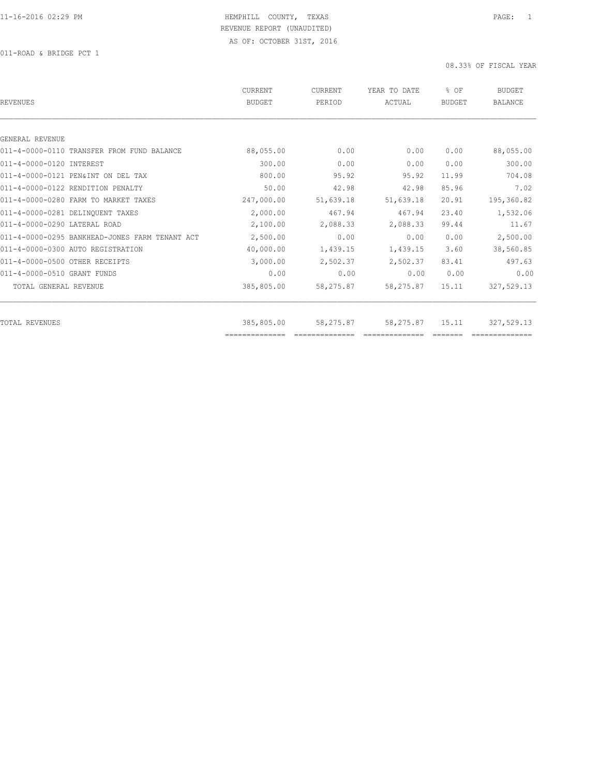011-ROAD & BRIDGE PCT 1

| REVENUES                                       | CURRENT<br><b>BUDGET</b> | <b>CURRENT</b><br>PERIOD | YEAR TO DATE<br>ACTUAL | % OF<br>BUDGET | <b>BUDGET</b><br><b>BALANCE</b> |
|------------------------------------------------|--------------------------|--------------------------|------------------------|----------------|---------------------------------|
|                                                |                          |                          |                        |                |                                 |
| GENERAL REVENUE                                |                          |                          |                        |                |                                 |
| 011-4-0000-0110 TRANSFER FROM FUND BALANCE     | 88,055.00                | 0.00                     | 0.00                   | 0.00           | 88,055.00                       |
| 011-4-0000-0120 INTEREST                       | 300.00                   | 0.00                     | 0.00                   | 0.00           | 300.00                          |
| 011-4-0000-0121 PEN&INT ON DEL TAX             | 800.00                   | 95.92                    | 95.92                  | 11.99          | 704.08                          |
| 011-4-0000-0122 RENDITION PENALTY              | 50.00                    | 42.98                    | 42.98                  | 85.96          | 7.02                            |
| 011-4-0000-0280 FARM TO MARKET TAXES           | 247,000.00               | 51,639.18                | 51,639.18              | 20.91          | 195,360.82                      |
| 011-4-0000-0281 DELINQUENT TAXES               | 2,000.00                 | 467.94                   | 467.94                 | 23.40          | 1,532.06                        |
| 011-4-0000-0290 LATERAL ROAD                   | 2,100.00                 | 2,088.33                 | 2,088.33               | 99.44          | 11.67                           |
| 011-4-0000-0295 BANKHEAD-JONES FARM TENANT ACT | 2,500.00                 | 0.00                     | 0.00                   | 0.00           | 2,500.00                        |
| 011-4-0000-0300 AUTO REGISTRATION              | 40,000.00                | 1,439.15                 | 1,439.15               | 3.60           | 38,560.85                       |
| 011-4-0000-0500 OTHER RECEIPTS                 | 3,000.00                 | 2,502.37                 | 2,502.37               | 83.41          | 497.63                          |
| 011-4-0000-0510 GRANT FUNDS                    | 0.00                     | 0.00                     | 0.00                   | 0.00           | 0.00                            |
| TOTAL GENERAL REVENUE                          | 385,805.00               | 58,275.87                | 58,275.87              | 15.11          | 327,529.13                      |
|                                                |                          |                          |                        |                |                                 |
| TOTAL REVENUES                                 | 385,805.00               | 58,275.87                | 58,275.87              | 15.11          | 327,529.13                      |
|                                                | ==============           |                          |                        |                |                                 |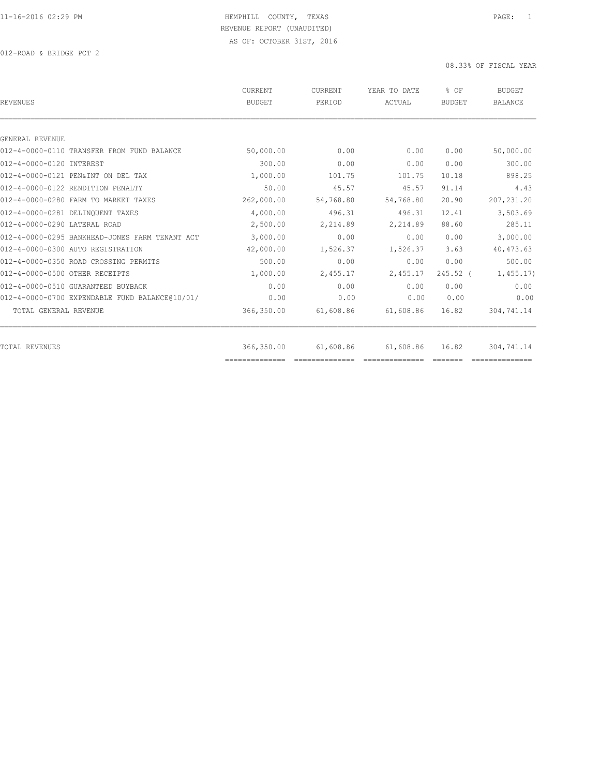012-ROAD & BRIDGE PCT 2

| <b>REVENUES</b>                                | <b>CURRENT</b><br><b>BUDGET</b> | CURRENT<br>PERIOD                                                                                                                                                                                                                                                                                                                                                                                                                                             | YEAR TO DATE<br>ACTUAL                                                                                                                                                                                                                                                                                                                                                                                                                                                                 | % OF<br><b>BUDGET</b>                                                                                                                                                                                                                                                                                                                                                                                                                                                                    | <b>BUDGET</b><br><b>BALANCE</b> |
|------------------------------------------------|---------------------------------|---------------------------------------------------------------------------------------------------------------------------------------------------------------------------------------------------------------------------------------------------------------------------------------------------------------------------------------------------------------------------------------------------------------------------------------------------------------|----------------------------------------------------------------------------------------------------------------------------------------------------------------------------------------------------------------------------------------------------------------------------------------------------------------------------------------------------------------------------------------------------------------------------------------------------------------------------------------|------------------------------------------------------------------------------------------------------------------------------------------------------------------------------------------------------------------------------------------------------------------------------------------------------------------------------------------------------------------------------------------------------------------------------------------------------------------------------------------|---------------------------------|
|                                                |                                 |                                                                                                                                                                                                                                                                                                                                                                                                                                                               |                                                                                                                                                                                                                                                                                                                                                                                                                                                                                        |                                                                                                                                                                                                                                                                                                                                                                                                                                                                                          |                                 |
| GENERAL REVENUE                                |                                 |                                                                                                                                                                                                                                                                                                                                                                                                                                                               |                                                                                                                                                                                                                                                                                                                                                                                                                                                                                        |                                                                                                                                                                                                                                                                                                                                                                                                                                                                                          |                                 |
| 012-4-0000-0110 TRANSFER FROM FUND BALANCE     | 50,000.00                       | 0.00                                                                                                                                                                                                                                                                                                                                                                                                                                                          | 0.00                                                                                                                                                                                                                                                                                                                                                                                                                                                                                   | 0.00                                                                                                                                                                                                                                                                                                                                                                                                                                                                                     | 50,000.00                       |
| 012-4-0000-0120 INTEREST                       | 300.00                          | 0.00                                                                                                                                                                                                                                                                                                                                                                                                                                                          | 0.00                                                                                                                                                                                                                                                                                                                                                                                                                                                                                   | 0.00                                                                                                                                                                                                                                                                                                                                                                                                                                                                                     | 300.00                          |
| 012-4-0000-0121 PEN&INT ON DEL TAX             | 1,000.00                        | 101.75                                                                                                                                                                                                                                                                                                                                                                                                                                                        | 101.75                                                                                                                                                                                                                                                                                                                                                                                                                                                                                 | 10.18                                                                                                                                                                                                                                                                                                                                                                                                                                                                                    | 898.25                          |
| 012-4-0000-0122 RENDITION PENALTY              | 50.00                           | 45.57                                                                                                                                                                                                                                                                                                                                                                                                                                                         | 45.57                                                                                                                                                                                                                                                                                                                                                                                                                                                                                  | 91.14                                                                                                                                                                                                                                                                                                                                                                                                                                                                                    | 4.43                            |
| 012-4-0000-0280 FARM TO MARKET TAXES           | 262,000.00                      | 54,768.80                                                                                                                                                                                                                                                                                                                                                                                                                                                     | 54,768.80                                                                                                                                                                                                                                                                                                                                                                                                                                                                              | 20.90                                                                                                                                                                                                                                                                                                                                                                                                                                                                                    | 207, 231.20                     |
| 012-4-0000-0281 DELINQUENT TAXES               | 4,000.00                        | 496.31                                                                                                                                                                                                                                                                                                                                                                                                                                                        | 496.31                                                                                                                                                                                                                                                                                                                                                                                                                                                                                 | 12.41                                                                                                                                                                                                                                                                                                                                                                                                                                                                                    | 3,503.69                        |
| 012-4-0000-0290 LATERAL ROAD                   | 2,500.00                        | 2,214.89                                                                                                                                                                                                                                                                                                                                                                                                                                                      | 2,214.89                                                                                                                                                                                                                                                                                                                                                                                                                                                                               | 88.60                                                                                                                                                                                                                                                                                                                                                                                                                                                                                    | 285.11                          |
| 012-4-0000-0295 BANKHEAD-JONES FARM TENANT ACT | 3,000.00                        | 0.00                                                                                                                                                                                                                                                                                                                                                                                                                                                          | 0.00                                                                                                                                                                                                                                                                                                                                                                                                                                                                                   | 0.00                                                                                                                                                                                                                                                                                                                                                                                                                                                                                     | 3,000.00                        |
| 012-4-0000-0300 AUTO REGISTRATION              | 42,000.00                       | 1,526.37                                                                                                                                                                                                                                                                                                                                                                                                                                                      | 1,526.37                                                                                                                                                                                                                                                                                                                                                                                                                                                                               | 3.63                                                                                                                                                                                                                                                                                                                                                                                                                                                                                     | 40, 473.63                      |
| 012-4-0000-0350 ROAD CROSSING PERMITS          | 500.00                          | 0.00                                                                                                                                                                                                                                                                                                                                                                                                                                                          | 0.00                                                                                                                                                                                                                                                                                                                                                                                                                                                                                   | 0.00                                                                                                                                                                                                                                                                                                                                                                                                                                                                                     | 500.00                          |
| 012-4-0000-0500 OTHER RECEIPTS                 | 1,000.00                        | 2,455.17                                                                                                                                                                                                                                                                                                                                                                                                                                                      | 2,455.17                                                                                                                                                                                                                                                                                                                                                                                                                                                                               | $245.52$ (                                                                                                                                                                                                                                                                                                                                                                                                                                                                               | 1,455.17                        |
| 012-4-0000-0510 GUARANTEED BUYBACK             | 0.00                            | 0.00                                                                                                                                                                                                                                                                                                                                                                                                                                                          | 0.00                                                                                                                                                                                                                                                                                                                                                                                                                                                                                   | 0.00                                                                                                                                                                                                                                                                                                                                                                                                                                                                                     | 0.00                            |
| 012-4-0000-0700 EXPENDABLE FUND BALANCE@10/01/ | 0.00                            | 0.00                                                                                                                                                                                                                                                                                                                                                                                                                                                          | 0.00                                                                                                                                                                                                                                                                                                                                                                                                                                                                                   | 0.00                                                                                                                                                                                                                                                                                                                                                                                                                                                                                     | 0.00                            |
| TOTAL GENERAL REVENUE                          | 366,350.00                      | 61,608.86                                                                                                                                                                                                                                                                                                                                                                                                                                                     | 61,608.86                                                                                                                                                                                                                                                                                                                                                                                                                                                                              | 16.82                                                                                                                                                                                                                                                                                                                                                                                                                                                                                    | 304,741.14                      |
| TOTAL REVENUES                                 | 366,350.00                      | 61,608.86                                                                                                                                                                                                                                                                                                                                                                                                                                                     | 61,608.86                                                                                                                                                                                                                                                                                                                                                                                                                                                                              | 16.82                                                                                                                                                                                                                                                                                                                                                                                                                                                                                    | 304,741.14                      |
|                                                | ==============                  | $\begin{array}{c} \multicolumn{2}{c} {\textbf{2.5}} \multicolumn{2}{c} {\textbf{2.5}} \multicolumn{2}{c} {\textbf{2.5}} \multicolumn{2}{c} {\textbf{2.5}} \multicolumn{2}{c} {\textbf{2.5}} \multicolumn{2}{c} {\textbf{2.5}} \multicolumn{2}{c} {\textbf{2.5}} \multicolumn{2}{c} {\textbf{2.5}} \multicolumn{2}{c} {\textbf{2.5}} \multicolumn{2}{c} {\textbf{2.5}} \multicolumn{2}{c} {\textbf{2.5}} \multicolumn{2}{c} {\textbf{2.5}} \multicolumn{2}{c}$ | $\begin{array}{cccccccccc} \multicolumn{2}{c}{} & \multicolumn{2}{c}{} & \multicolumn{2}{c}{} & \multicolumn{2}{c}{} & \multicolumn{2}{c}{} & \multicolumn{2}{c}{} & \multicolumn{2}{c}{} & \multicolumn{2}{c}{} & \multicolumn{2}{c}{} & \multicolumn{2}{c}{} & \multicolumn{2}{c}{} & \multicolumn{2}{c}{} & \multicolumn{2}{c}{} & \multicolumn{2}{c}{} & \multicolumn{2}{c}{} & \multicolumn{2}{c}{} & \multicolumn{2}{c}{} & \multicolumn{2}{c}{} & \multicolumn{2}{c}{} & \mult$ | $\begin{tabular}{ll} \multicolumn{3}{l}{} & \multicolumn{3}{l}{} & \multicolumn{3}{l}{} \\ \multicolumn{3}{l}{} & \multicolumn{3}{l}{} & \multicolumn{3}{l}{} \\ \multicolumn{3}{l}{} & \multicolumn{3}{l}{} & \multicolumn{3}{l}{} \\ \multicolumn{3}{l}{} & \multicolumn{3}{l}{} & \multicolumn{3}{l}{} \\ \multicolumn{3}{l}{} & \multicolumn{3}{l}{} & \multicolumn{3}{l}{} \\ \multicolumn{3}{l}{} & \multicolumn{3}{l}{} & \multicolumn{3}{l}{} \\ \multicolumn{3}{l}{} & \multic$ |                                 |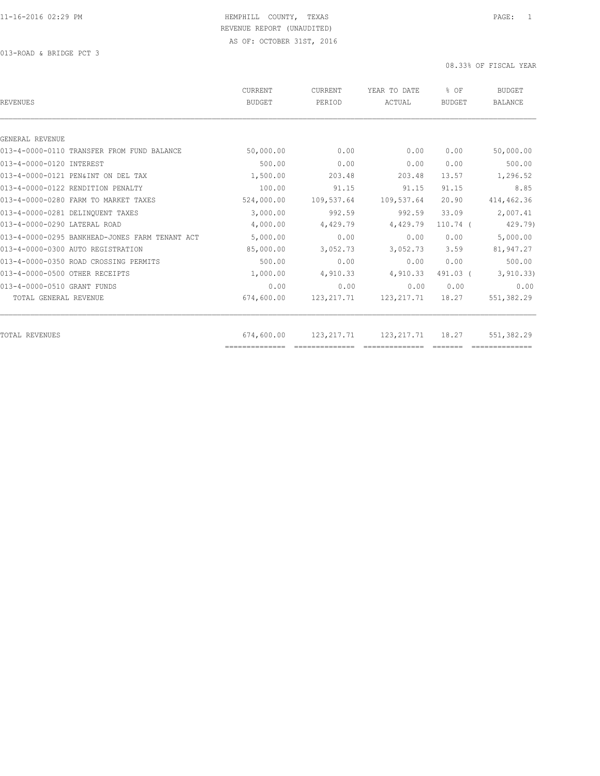013-ROAD & BRIDGE PCT 3

| <b>BUDGET</b> | PERIOD       | YEAR TO DATE<br>ACTUAL | % OF<br><b>BUDGET</b>     | <b>BUDGET</b><br><b>BALANCE</b> |
|---------------|--------------|------------------------|---------------------------|---------------------------------|
|               |              |                        |                           |                                 |
|               |              |                        |                           |                                 |
| 50,000.00     | 0.00         | 0.00                   | 0.00                      | 50,000.00                       |
| 500.00        | 0.00         | 0.00                   | 0.00                      | 500.00                          |
| 1,500.00      | 203.48       | 203.48                 | 13.57                     | 1,296.52                        |
| 100.00        | 91.15        | 91.15                  | 91.15                     | 8.85                            |
| 524,000.00    | 109,537.64   | 109,537.64             | 20.90                     | 414, 462.36                     |
| 3,000.00      | 992.59       | 992.59                 | 33.09                     | 2,007.41                        |
| 4,000.00      | 4,429.79     | 4,429.79               | $110.74$ (                | 429.79)                         |
| 5,000.00      | 0.00         | 0.00                   | 0.00                      | 5,000.00                        |
| 85,000.00     | 3,052.73     | 3,052.73               | 3.59                      | 81,947.27                       |
| 500.00        | 0.00         | 0.00                   | 0.00                      | 500.00                          |
| 1,000.00      | 4,910.33     | 4,910.33               | 491.03 (                  | 3, 910.33)                      |
| 0.00          | 0.00         | 0.00                   | 0.00                      | 0.00                            |
| 674,600.00    | 123, 217. 71 | 123, 217.71            | 18.27                     | 551,382.29                      |
|               |              |                        |                           | 551,382.29                      |
|               | 674,600.00   |                        | 123, 217. 71 123, 217. 71 | 18.27                           |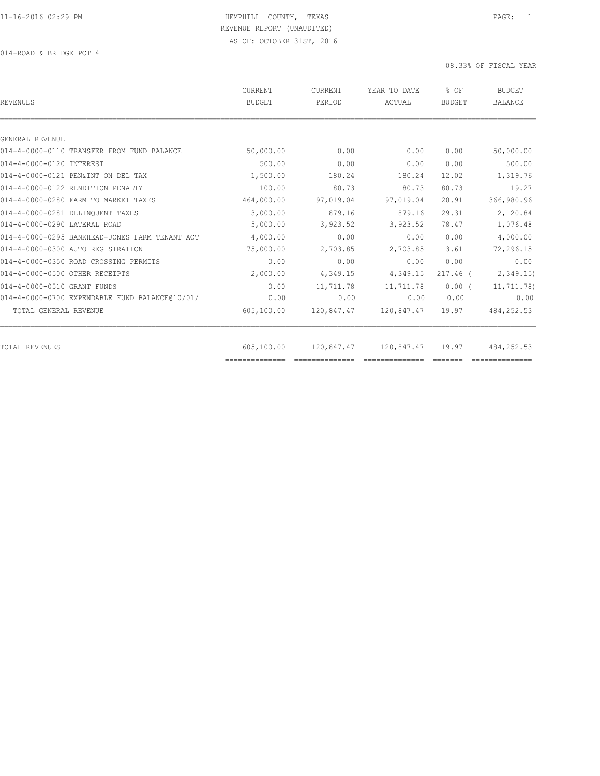014-ROAD & BRIDGE PCT 4

| <b>REVENUES</b>                                | <b>CURRENT</b><br>BUDGET | CURRENT<br>PERIOD | YEAR TO DATE<br>ACTUAL | % OF<br><b>BUDGET</b> | <b>BUDGET</b><br><b>BALANCE</b> |
|------------------------------------------------|--------------------------|-------------------|------------------------|-----------------------|---------------------------------|
|                                                |                          |                   |                        |                       |                                 |
| GENERAL REVENUE                                |                          |                   |                        |                       |                                 |
| 014-4-0000-0110 TRANSFER FROM FUND BALANCE     | 50,000.00                | 0.00              | 0.00                   | 0.00                  | 50,000.00                       |
| 014-4-0000-0120 INTEREST                       | 500.00                   | 0.00              | 0.00                   | 0.00                  | 500.00                          |
| 014-4-0000-0121 PEN&INT ON DEL TAX             | 1,500.00                 | 180.24            | 180.24                 | 12.02                 | 1,319.76                        |
| 014-4-0000-0122 RENDITION PENALTY              | 100.00                   | 80.73             | 80.73                  | 80.73                 | 19.27                           |
| 014-4-0000-0280 FARM TO MARKET TAXES           | 464,000.00               | 97,019.04         | 97,019.04              | 20.91                 | 366,980.96                      |
| 014-4-0000-0281 DELINQUENT TAXES               | 3,000.00                 | 879.16            | 879.16                 | 29.31                 | 2,120.84                        |
| 014-4-0000-0290 LATERAL ROAD                   | 5,000.00                 | 3,923.52          | 3,923.52               | 78.47                 | 1,076.48                        |
| 014-4-0000-0295 BANKHEAD-JONES FARM TENANT ACT | 4,000.00                 | 0.00              | 0.00                   | 0.00                  | 4,000.00                        |
| 014-4-0000-0300 AUTO REGISTRATION              | 75,000.00                | 2,703.85          | 2,703.85               | 3.61                  | 72,296.15                       |
| 014-4-0000-0350 ROAD CROSSING PERMITS          | 0.00                     | 0.00              | 0.00                   | 0.00                  | 0.00                            |
| 014-4-0000-0500 OTHER RECEIPTS                 | 2,000.00                 | 4,349.15          | 4,349.15               | $217.46$ (            | 2,349.15                        |
| 014-4-0000-0510 GRANT FUNDS                    | 0.00                     | 11,711.78         | 11,711.78              | $0.00$ (              | 11,711.78)                      |
| 014-4-0000-0700 EXPENDABLE FUND BALANCE@10/01/ | 0.00                     | 0.00              | 0.00                   | 0.00                  | 0.00                            |
| TOTAL GENERAL REVENUE                          | 605,100.00               | 120,847.47        | 120,847.47             | 19.97                 | 484,252.53                      |
|                                                |                          |                   |                        |                       |                                 |
| TOTAL REVENUES                                 | 605,100.00               |                   | 120,847.47 120,847.47  | 19.97                 | 484,252.53                      |
|                                                |                          |                   |                        |                       |                                 |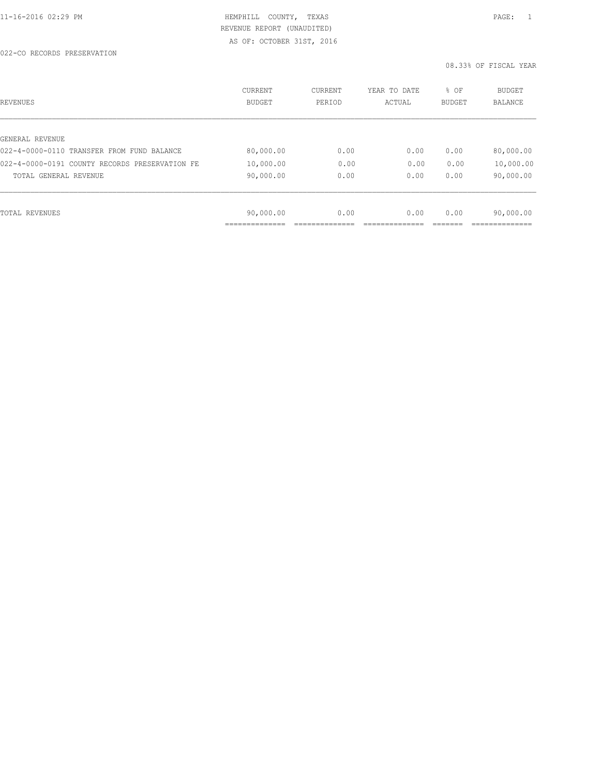| REVENUES                                       | CURRENT<br><b>BUDGET</b> | CURRENT<br>PERIOD | YEAR TO DATE<br>ACTUAL | % OF<br>BUDGET | BUDGET<br><b>BALANCE</b> |
|------------------------------------------------|--------------------------|-------------------|------------------------|----------------|--------------------------|
|                                                |                          |                   |                        |                |                          |
| GENERAL REVENUE                                |                          |                   |                        |                |                          |
| 022-4-0000-0110 TRANSFER FROM FUND BALANCE     | 80,000.00                | 0.00              | 0.00                   | 0.00           | 80,000.00                |
| 022-4-0000-0191 COUNTY RECORDS PRESERVATION FE | 10,000.00                | 0.00              | 0.00                   | 0.00           | 10,000.00                |
| TOTAL GENERAL REVENUE                          | 90,000.00                | 0.00              | 0.00                   | 0.00           | 90,000.00                |
|                                                |                          |                   |                        |                |                          |
| TOTAL REVENUES                                 | 90,000.00                | 0.00              | 0.00                   | 0.00           | 90,000.00                |
|                                                | ____________             |                   |                        |                |                          |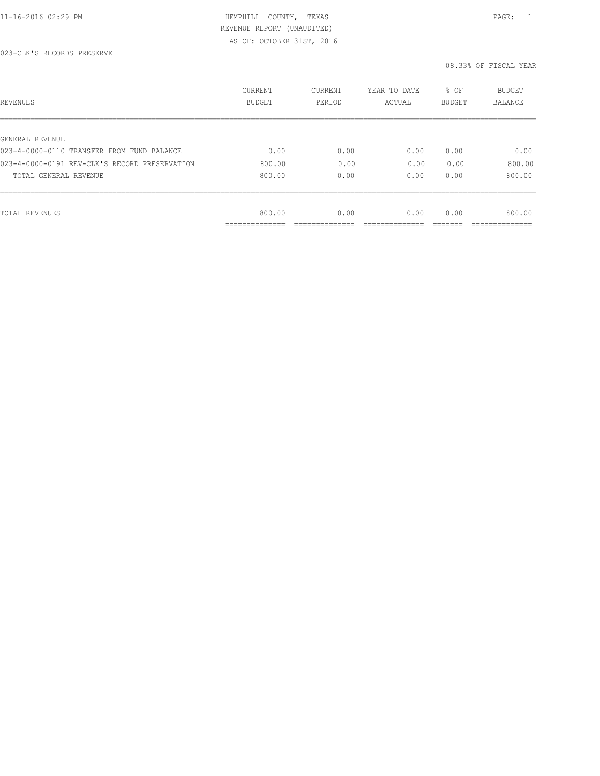| REVENUES                                      | CURRENT<br><b>BUDGET</b> | CURRENT<br>PERIOD | YEAR TO DATE<br>ACTUAL | % OF<br>BUDGET | BUDGET<br><b>BALANCE</b> |
|-----------------------------------------------|--------------------------|-------------------|------------------------|----------------|--------------------------|
|                                               |                          |                   |                        |                |                          |
| GENERAL REVENUE                               |                          |                   |                        |                |                          |
| 023-4-0000-0110 TRANSFER FROM FUND BALANCE    | 0.00                     | 0.00              | 0.00                   | 0.00           | 0.00                     |
| 023-4-0000-0191 REV-CLK'S RECORD PRESERVATION | 800.00                   | 0.00              | 0.00                   | 0.00           | 800.00                   |
| TOTAL GENERAL REVENUE                         | 800.00                   | 0.00              | 0.00                   | 0.00           | 800.00                   |
|                                               |                          |                   |                        |                |                          |
| TOTAL REVENUES                                | 800.00                   | 0.00              | 0.00                   | 0.00           | 800.00                   |
|                                               | ----------               |                   |                        |                |                          |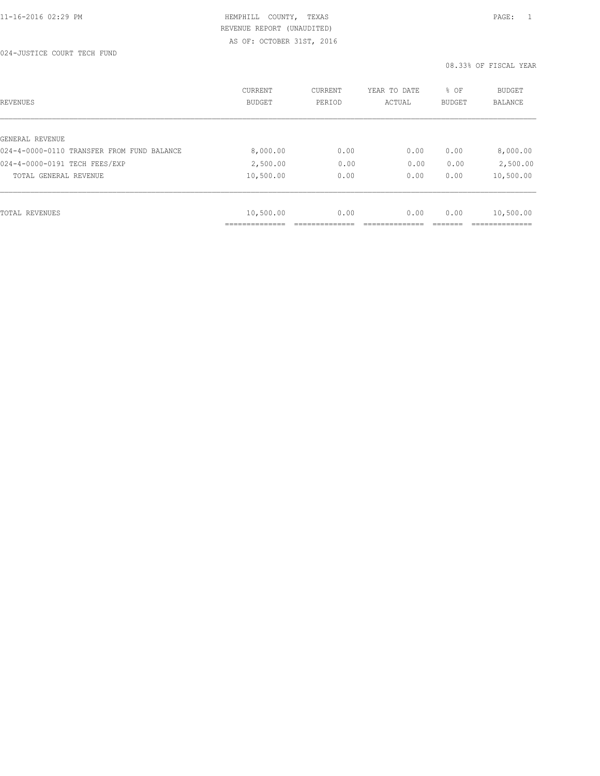| REVENUES                                   | <b>CURRENT</b><br><b>BUDGET</b> | CURRENT<br>PERIOD | YEAR TO DATE<br>ACTUAL | % OF<br>BUDGET | BUDGET<br><b>BALANCE</b> |
|--------------------------------------------|---------------------------------|-------------------|------------------------|----------------|--------------------------|
|                                            |                                 |                   |                        |                |                          |
| GENERAL REVENUE                            |                                 |                   |                        |                |                          |
| 024-4-0000-0110 TRANSFER FROM FUND BALANCE | 8,000.00                        | 0.00              | 0.00                   | 0.00           | 8,000.00                 |
| 024-4-0000-0191 TECH FEES/EXP              | 2,500.00                        | 0.00              | 0.00                   | 0.00           | 2,500.00                 |
| TOTAL GENERAL REVENUE                      | 10,500.00                       | 0.00              | 0.00                   | 0.00           | 10,500.00                |
|                                            |                                 |                   |                        |                |                          |
| TOTAL REVENUES                             | 10,500.00                       | 0.00              | 0.00                   | 0.00           | 10,500.00                |
|                                            |                                 |                   |                        |                |                          |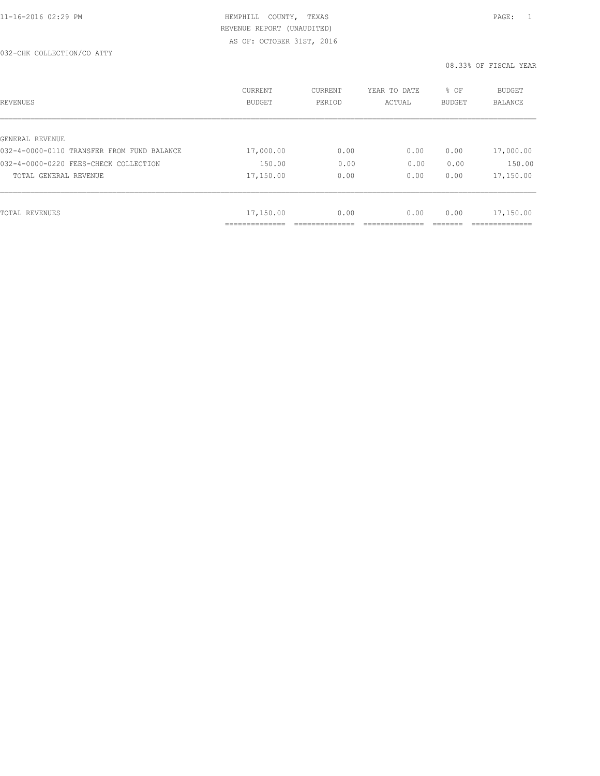### 032-CHK COLLECTION/CO ATTY

| REVENUES                                   | CURRENT<br><b>BUDGET</b> | CURRENT<br>PERIOD | YEAR TO DATE<br>ACTUAL | % OF<br><b>BUDGET</b> | <b>BUDGET</b><br>BALANCE |
|--------------------------------------------|--------------------------|-------------------|------------------------|-----------------------|--------------------------|
| GENERAL REVENUE                            |                          |                   |                        |                       |                          |
| 032-4-0000-0110 TRANSFER FROM FUND BALANCE | 17,000.00                | 0.00              | 0.00                   | 0.00                  | 17,000.00                |
| 032-4-0000-0220 FEES-CHECK COLLECTION      | 150.00                   | 0.00              | 0.00                   | 0.00                  | 150.00                   |
| TOTAL GENERAL REVENUE                      | 17,150.00                | 0.00              | 0.00                   | 0.00                  | 17,150.00                |
|                                            |                          |                   |                        |                       |                          |
| TOTAL REVENUES                             | 17,150.00                | 0.00              | 0.00                   | 0.00                  | 17,150.00                |
|                                            | ______________           |                   |                        |                       | __________               |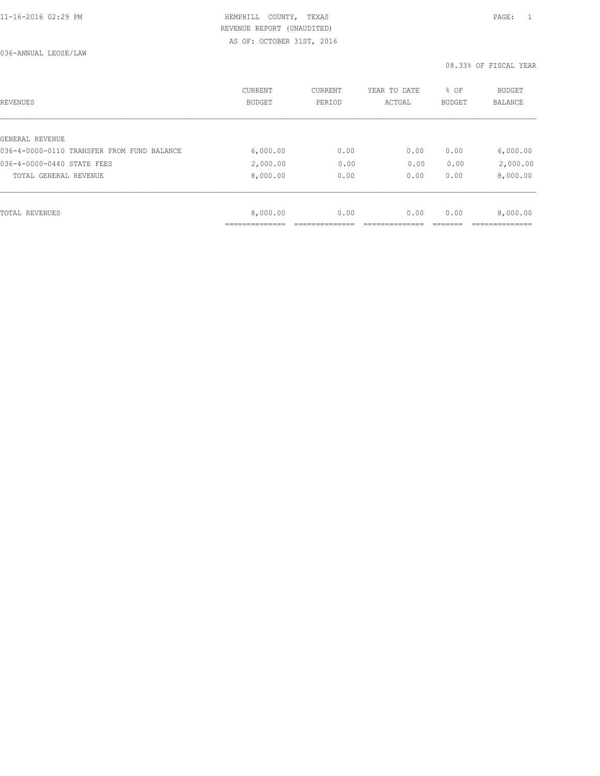| REVENUES                                   | CURRENT<br><b>BUDGET</b> | CURRENT<br>PERIOD | YEAR TO DATE<br>ACTUAL | % OF<br>BUDGET | BUDGET<br><b>BALANCE</b> |
|--------------------------------------------|--------------------------|-------------------|------------------------|----------------|--------------------------|
|                                            |                          |                   |                        |                |                          |
| GENERAL REVENUE                            |                          |                   |                        |                |                          |
| 036-4-0000-0110 TRANSFER FROM FUND BALANCE | 6,000.00                 | 0.00              | 0.00                   | 0.00           | 6,000.00                 |
| 036-4-0000-0440 STATE FEES                 | 2,000.00                 | 0.00              | 0.00                   | 0.00           | 2,000.00                 |
| TOTAL GENERAL REVENUE                      | 8,000.00                 | 0.00              | 0.00                   | 0.00           | 8,000.00                 |
|                                            |                          |                   |                        |                |                          |
| TOTAL REVENUES                             | 8,000.00                 | 0.00              | 0.00                   | 0.00           | 8,000.00                 |
|                                            | ___________              |                   |                        |                |                          |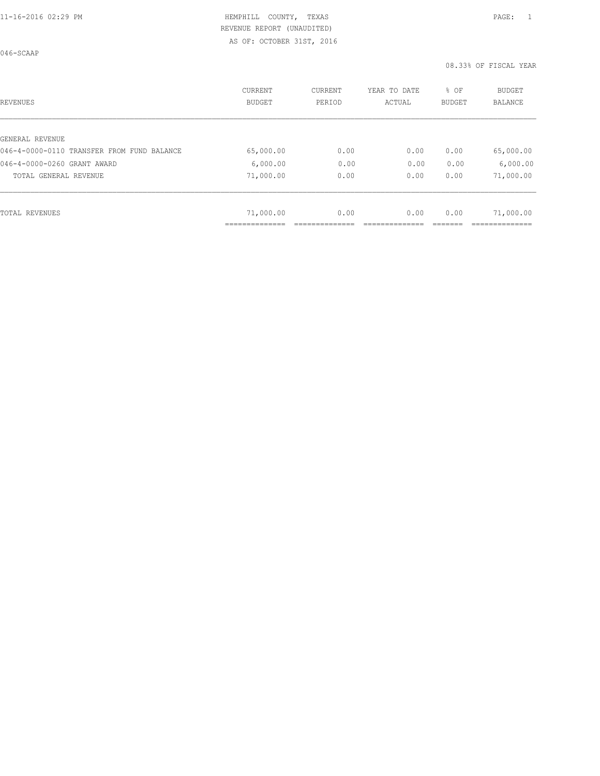046-SCAAP

| <b>REVENUES</b>                            | CURRENT<br><b>BUDGET</b> | CURRENT<br>PERIOD | YEAR TO DATE<br>ACTUAL | % OF<br><b>BUDGET</b> | BUDGET<br><b>BALANCE</b> |
|--------------------------------------------|--------------------------|-------------------|------------------------|-----------------------|--------------------------|
|                                            |                          |                   |                        |                       |                          |
| GENERAL REVENUE                            |                          |                   |                        |                       |                          |
| 046-4-0000-0110 TRANSFER FROM FUND BALANCE | 65,000.00                | 0.00              | 0.00                   | 0.00                  | 65,000.00                |
| 046-4-0000-0260 GRANT AWARD                | 6,000.00                 | 0.00              | 0.00                   | 0.00                  | 6,000.00                 |
| TOTAL GENERAL REVENUE                      | 71,000.00                | 0.00              | 0.00                   | 0.00                  | 71,000.00                |
|                                            |                          |                   |                        |                       |                          |
| TOTAL REVENUES                             | 71,000.00                | 0.00              | 0.00                   | 0.00                  | 71,000.00                |
|                                            |                          |                   |                        |                       |                          |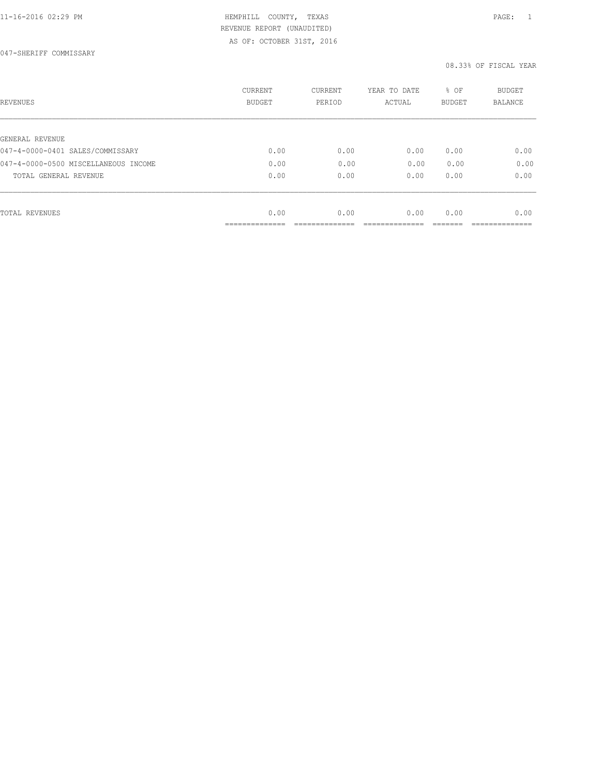# 11-16-2016 02:29 PM **HEMPHILL COUNTY, TEXAS** PAGE: 1 REVENUE REPORT (UNAUDITED)

AS OF: OCTOBER 31ST, 2016

047-SHERIFF COMMISSARY

| REVENUES                             | <b>CURRENT</b><br><b>BUDGET</b> | CURRENT<br>PERIOD | YEAR TO DATE<br>ACTUAL | % OF<br><b>BUDGET</b> | <b>BUDGET</b><br>BALANCE |
|--------------------------------------|---------------------------------|-------------------|------------------------|-----------------------|--------------------------|
|                                      |                                 |                   |                        |                       |                          |
| GENERAL REVENUE                      |                                 |                   |                        |                       |                          |
| 047-4-0000-0401 SALES/COMMISSARY     | 0.00                            | 0.00              | 0.00                   | 0.00                  | 0.00                     |
| 047-4-0000-0500 MISCELLANEOUS INCOME | 0.00                            | 0.00              | 0.00                   | 0.00                  | 0.00                     |
| TOTAL GENERAL REVENUE                | 0.00                            | 0.00              | 0.00                   | 0.00                  | 0.00                     |
|                                      |                                 |                   |                        |                       |                          |
| TOTAL REVENUES                       | 0.00                            | 0.00              | 0.00                   | 0.00                  | 0.00                     |
|                                      | ------------<br>-------------   |                   |                        |                       |                          |